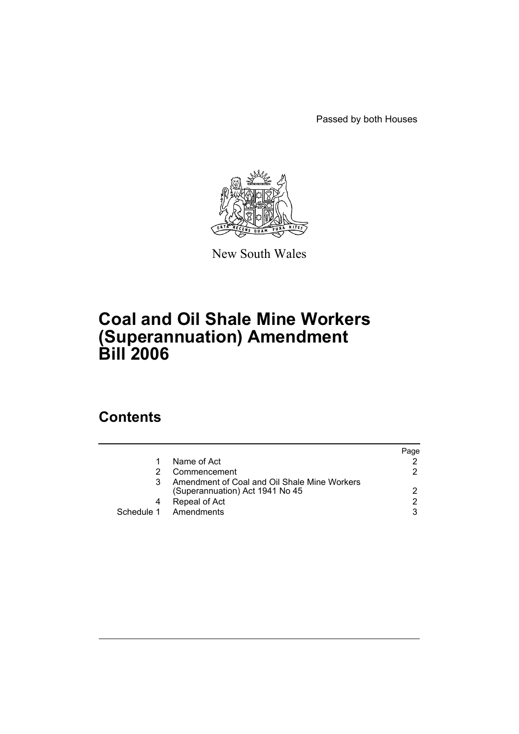Passed by both Houses



New South Wales

# **Coal and Oil Shale Mine Workers (Superannuation) Amendment Bill 2006**

# **Contents**

|                                                                                 | Paqe |
|---------------------------------------------------------------------------------|------|
| Name of Act                                                                     |      |
| Commencement                                                                    | 2    |
| Amendment of Coal and Oil Shale Mine Workers<br>(Superannuation) Act 1941 No 45 | 2    |
| Repeal of Act                                                                   | 2    |
| Schedule 1 Amendments                                                           | 3    |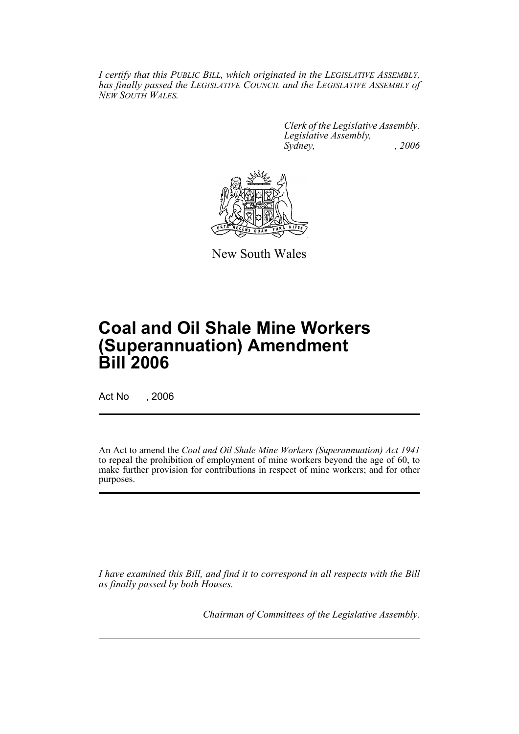*I certify that this PUBLIC BILL, which originated in the LEGISLATIVE ASSEMBLY, has finally passed the LEGISLATIVE COUNCIL and the LEGISLATIVE ASSEMBLY of NEW SOUTH WALES.*

> *Clerk of the Legislative Assembly. Legislative Assembly, Sydney, , 2006*



New South Wales

# **Coal and Oil Shale Mine Workers (Superannuation) Amendment Bill 2006**

Act No , 2006

An Act to amend the *Coal and Oil Shale Mine Workers (Superannuation) Act 1941* to repeal the prohibition of employment of mine workers beyond the age of 60, to make further provision for contributions in respect of mine workers; and for other purposes.

*I have examined this Bill, and find it to correspond in all respects with the Bill as finally passed by both Houses.*

*Chairman of Committees of the Legislative Assembly.*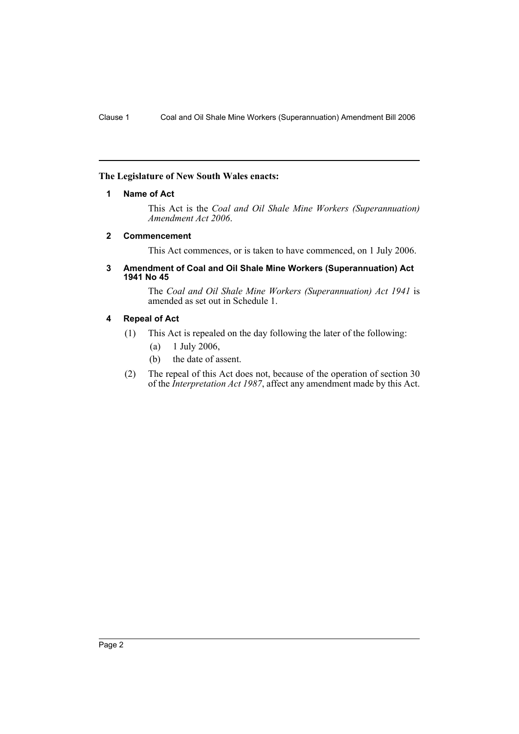#### <span id="page-2-0"></span>**The Legislature of New South Wales enacts:**

#### **1 Name of Act**

This Act is the *Coal and Oil Shale Mine Workers (Superannuation) Amendment Act 2006*.

#### <span id="page-2-1"></span>**2 Commencement**

This Act commences, or is taken to have commenced, on 1 July 2006.

#### <span id="page-2-2"></span>**3 Amendment of Coal and Oil Shale Mine Workers (Superannuation) Act 1941 No 45**

The *Coal and Oil Shale Mine Workers (Superannuation) Act 1941* is amended as set out in Schedule 1.

### <span id="page-2-3"></span>**4 Repeal of Act**

- (1) This Act is repealed on the day following the later of the following:
	- (a) 1 July 2006,
	- (b) the date of assent.
- (2) The repeal of this Act does not, because of the operation of section 30 of the *Interpretation Act 1987*, affect any amendment made by this Act.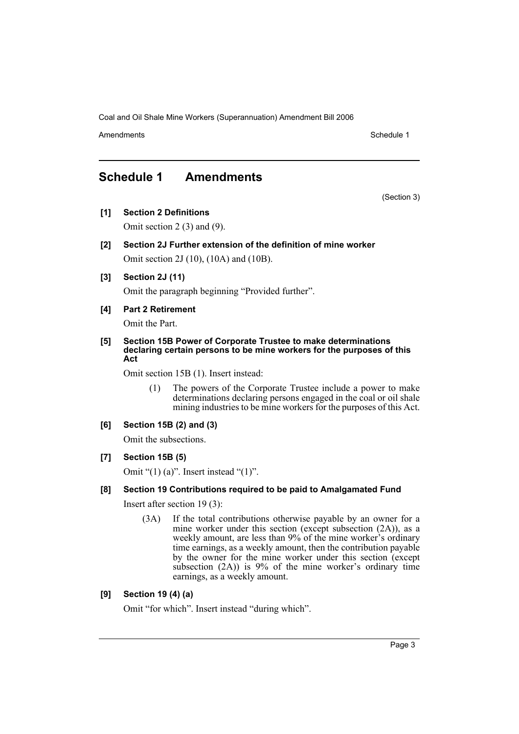Coal and Oil Shale Mine Workers (Superannuation) Amendment Bill 2006

Amendments **Amendments** Schedule 1

(Section 3)

# <span id="page-3-0"></span>**Schedule 1 Amendments**

**[1] Section 2 Definitions**

Omit section 2 (3) and (9).

- **[2] Section 2J Further extension of the definition of mine worker** Omit section 2J (10), (10A) and (10B).
- **[3] Section 2J (11)**

Omit the paragraph beginning "Provided further".

**[4] Part 2 Retirement**

Omit the Part.

**[5] Section 15B Power of Corporate Trustee to make determinations declaring certain persons to be mine workers for the purposes of this Act**

Omit section 15B (1). Insert instead:

(1) The powers of the Corporate Trustee include a power to make determinations declaring persons engaged in the coal or oil shale mining industries to be mine workers for the purposes of this Act.

#### **[6] Section 15B (2) and (3)**

Omit the subsections.

**[7] Section 15B (5)**

Omit " $(1)$  (a)". Insert instead " $(1)$ ".

#### **[8] Section 19 Contributions required to be paid to Amalgamated Fund**

Insert after section 19 (3):

(3A) If the total contributions otherwise payable by an owner for a mine worker under this section (except subsection (2A)), as a weekly amount, are less than 9% of the mine worker's ordinary time earnings, as a weekly amount, then the contribution payable by the owner for the mine worker under this section (except subsection (2A)) is 9% of the mine worker's ordinary time earnings, as a weekly amount.

#### **[9] Section 19 (4) (a)**

Omit "for which". Insert instead "during which".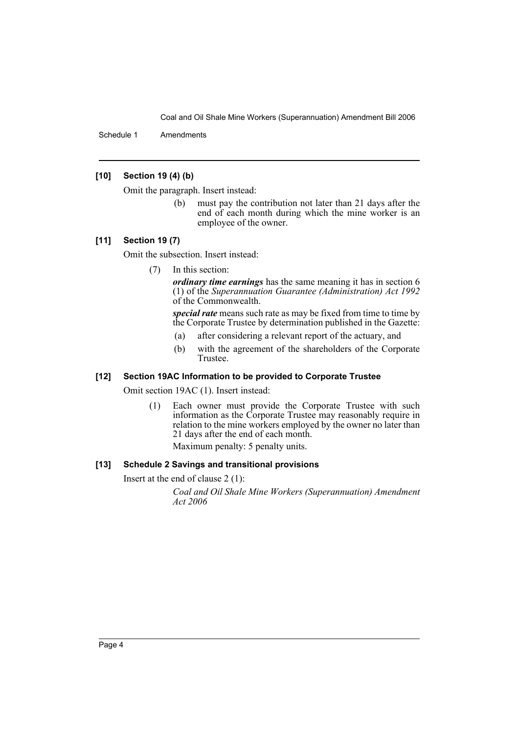Coal and Oil Shale Mine Workers (Superannuation) Amendment Bill 2006

Schedule 1 Amendments

#### **[10] Section 19 (4) (b)**

Omit the paragraph. Insert instead:

(b) must pay the contribution not later than 21 days after the end of each month during which the mine worker is an employee of the owner.

#### **[11] Section 19 (7)**

Omit the subsection. Insert instead:

(7) In this section:

*ordinary time earnings* has the same meaning it has in section 6 (1) of the *Superannuation Guarantee (Administration) Act 1992* of the Commonwealth.

*special rate* means such rate as may be fixed from time to time by the Corporate Trustee by determination published in the Gazette:

- (a) after considering a relevant report of the actuary, and
- (b) with the agreement of the shareholders of the Corporate Trustee.

## **[12] Section 19AC Information to be provided to Corporate Trustee**

Omit section 19AC (1). Insert instead:

(1) Each owner must provide the Corporate Trustee with such information as the Corporate Trustee may reasonably require in relation to the mine workers employed by the owner no later than 21 days after the end of each month.

Maximum penalty: 5 penalty units.

### **[13] Schedule 2 Savings and transitional provisions**

Insert at the end of clause 2 (1):

*Coal and Oil Shale Mine Workers (Superannuation) Amendment Act 2006*